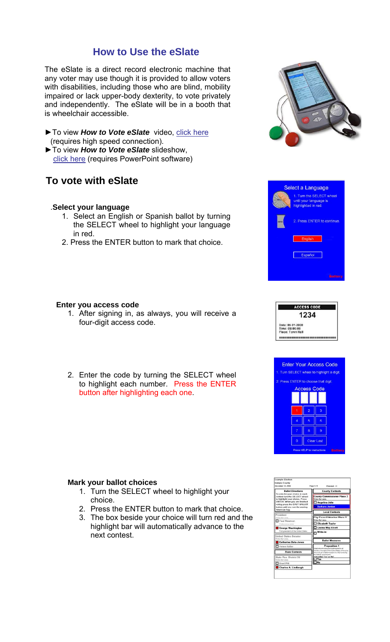## **How to Use the eSlate**

The eSlate is a direct record electronic machine that any voter may use though it is provided to allow voters with disabilities, including those who are blind, mobility impaired or lack upper-body dexterity, to vote privately and independently. The eSlate will be in a booth that is wheelchair accessible.

- ▶ To view *How to Vote eSlate* video, click here (requires high speed connection).
- ►To view *How to Vote eSlate* slideshow, click here (requires PowerPoint software)

# **To vote with eSlate**

### .**Select your language**

- 1. Select an English or Spanish ballot by turning the SELECT wheel to highlight your language in red.
- 2. Press the ENTER button to mark that choice.

### **Enter you access code**

- 1. After signing in, as always, you will receive a four-digit access code.
- 2. Enter the code by turning the SELECT wheel to highlight each number. Press the ENTER button after highlighting each one.

#### **Mark your ballot choices**

- 1. Turn the SELECT wheel to highlight your choice.
- 2. Press the ENTER button to mark that choice.
- 3. The box beside your choice will turn red and the highlight bar will automatically advance to the next contest.